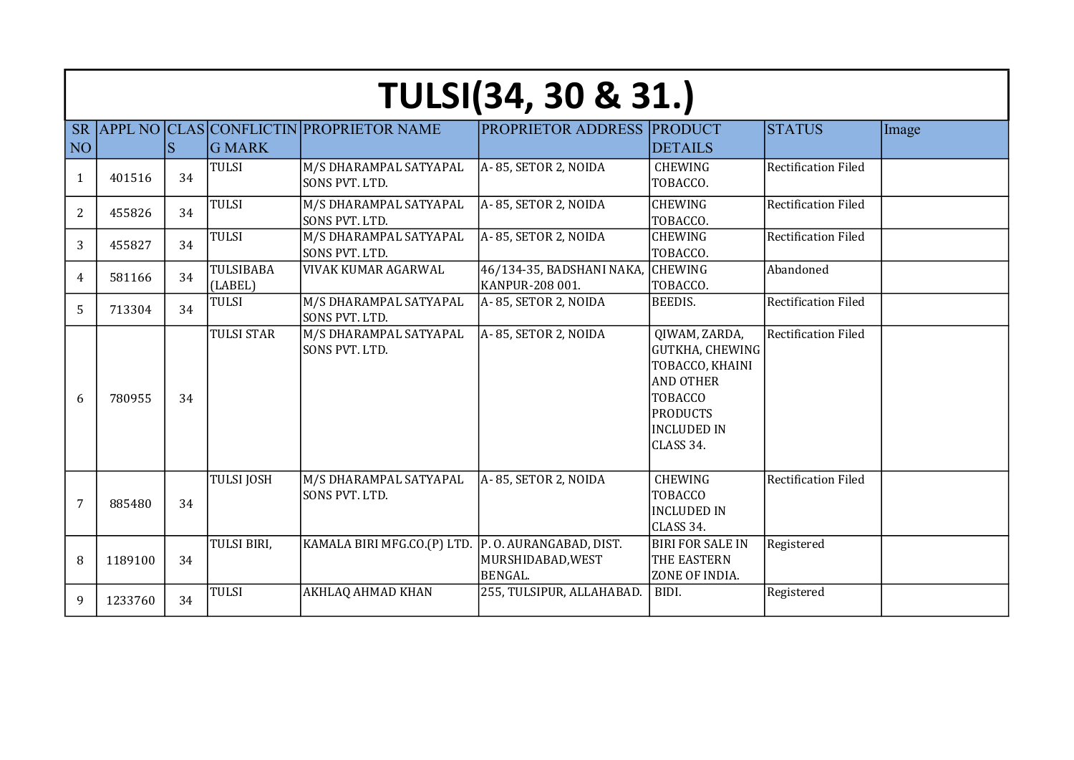|                 | <b>TULSI(34, 30 &amp; 31.)</b> |    |                      |                                                |                                                               |                                                                                                                                                        |                            |       |  |  |
|-----------------|--------------------------------|----|----------------------|------------------------------------------------|---------------------------------------------------------------|--------------------------------------------------------------------------------------------------------------------------------------------------------|----------------------------|-------|--|--|
| <b>SR</b>       |                                |    |                      | <b>APPL NO CLAS CONFLICTIN PROPRIETOR NAME</b> | <b>PROPRIETOR ADDRESS PRODUCT</b>                             |                                                                                                                                                        | <b>STATUS</b>              | Image |  |  |
| NO <sup>1</sup> |                                | S  | <b>G MARK</b>        |                                                |                                                               | <b>DETAILS</b>                                                                                                                                         |                            |       |  |  |
| 1               | 401516                         | 34 | <b>TULSI</b>         | M/S DHARAMPAL SATYAPAL<br>SONS PVT. LTD.       | A- 85, SETOR 2, NOIDA                                         | <b>CHEWING</b><br>TOBACCO.                                                                                                                             | <b>Rectification Filed</b> |       |  |  |
| $\overline{2}$  | 455826                         | 34 | <b>TULSI</b>         | M/S DHARAMPAL SATYAPAL<br>SONS PVT. LTD.       | A-85, SETOR 2, NOIDA                                          | <b>CHEWING</b><br>TOBACCO.                                                                                                                             | <b>Rectification Filed</b> |       |  |  |
| 3               | 455827                         | 34 | <b>TULSI</b>         | M/S DHARAMPAL SATYAPAL<br>SONS PVT. LTD.       | A-85, SETOR 2, NOIDA                                          | <b>CHEWING</b><br>TOBACCO.                                                                                                                             | <b>Rectification Filed</b> |       |  |  |
| 4               | 581166                         | 34 | TULSIBABA<br>(LABEL) | VIVAK KUMAR AGARWAL                            | 46/134-35, BADSHANI NAKA,<br>KANPUR-208 001.                  | <b>CHEWING</b><br>TOBACCO.                                                                                                                             | Abandoned                  |       |  |  |
| 5               | 713304                         | 34 | <b>TULSI</b>         | M/S DHARAMPAL SATYAPAL<br>SONS PVT. LTD.       | A-85, SETOR 2, NOIDA                                          | <b>BEEDIS.</b>                                                                                                                                         | <b>Rectification Filed</b> |       |  |  |
| 6               | 780955                         | 34 | <b>TULSI STAR</b>    | M/S DHARAMPAL SATYAPAL<br>SONS PVT. LTD.       | A-85, SETOR 2, NOIDA                                          | QIWAM, ZARDA,<br><b>GUTKHA, CHEWING</b><br>TOBACCO, KHAINI<br><b>AND OTHER</b><br><b>TOBACCO</b><br><b>PRODUCTS</b><br><b>INCLUDED IN</b><br>CLASS 34. | <b>Rectification Filed</b> |       |  |  |
| 7               | 885480                         | 34 | <b>TULSI JOSH</b>    | M/S DHARAMPAL SATYAPAL<br>SONS PVT. LTD.       | A-85, SETOR 2, NOIDA                                          | <b>CHEWING</b><br><b>TOBACCO</b><br><b>INCLUDED IN</b><br>CLASS 34.                                                                                    | <b>Rectification Filed</b> |       |  |  |
| 8               | 1189100                        | 34 | TULSI BIRI,          | KAMALA BIRI MFG.CO.(P) LTD.                    | P.O. AURANGABAD, DIST.<br>MURSHIDABAD, WEST<br><b>BENGAL.</b> | <b>BIRI FOR SALE IN</b><br>THE EASTERN<br>ZONE OF INDIA.                                                                                               | Registered                 |       |  |  |
| 9               | 1233760                        | 34 | <b>TULSI</b>         | AKHLAQ AHMAD KHAN                              | 255, TULSIPUR, ALLAHABAD.                                     | BIDI.                                                                                                                                                  | Registered                 |       |  |  |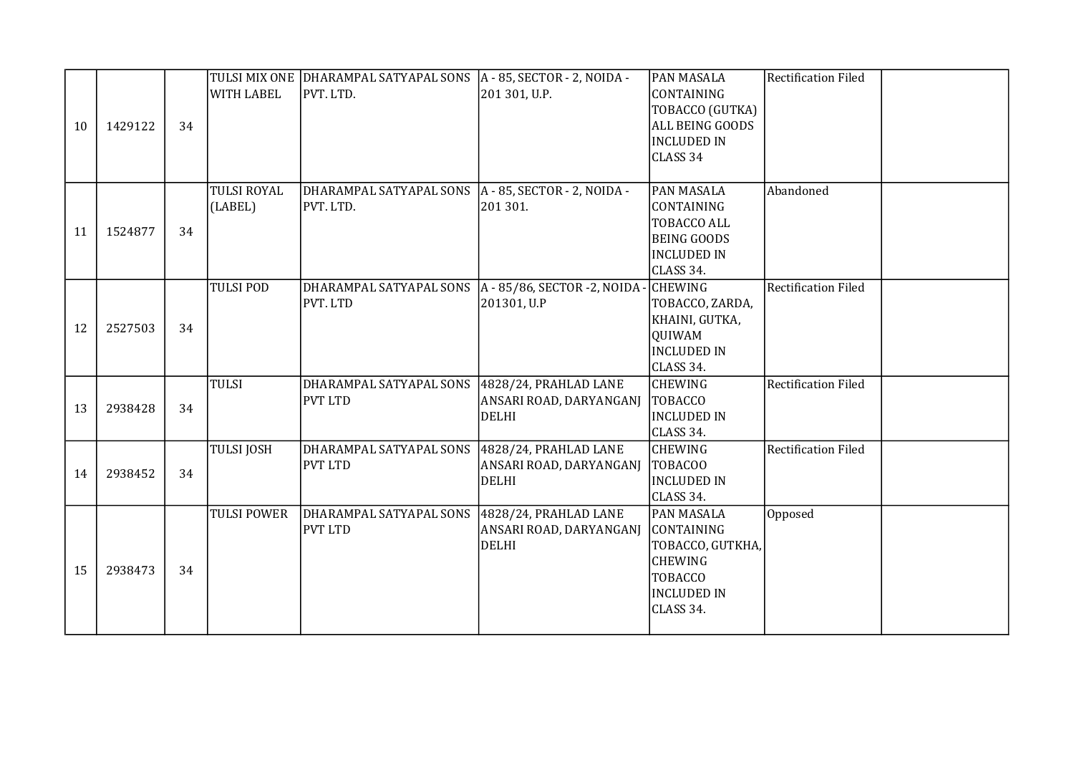| 10 | 1429122 | 34 | <b>WITH LABEL</b>             | TULSI MIX ONE DHARAMPAL SATYAPAL SONS<br>PVT. LTD. | $A - 85$ , SECTOR - 2, NOIDA -<br>201 301, U.P.                     | PAN MASALA<br>CONTAINING<br>TOBACCO (GUTKA)<br>ALL BEING GOODS<br><b>INCLUDED IN</b><br>CLASS 34                    | <b>Rectification Filed</b> |  |
|----|---------|----|-------------------------------|----------------------------------------------------|---------------------------------------------------------------------|---------------------------------------------------------------------------------------------------------------------|----------------------------|--|
| 11 | 1524877 | 34 | <b>TULSI ROYAL</b><br>(LABEL) | DHARAMPAL SATYAPAL SONS<br>PVT. LTD.               | $A - 85$ , SECTOR - 2, NOIDA -<br>201 301.                          | PAN MASALA<br>CONTAINING<br>TOBACCO ALL<br><b>BEING GOODS</b><br><b>INCLUDED IN</b><br>CLASS 34.                    | Abandoned                  |  |
| 12 | 2527503 | 34 | <b>TULSI POD</b>              | DHARAMPAL SATYAPAL SONS<br>PVT. LTD                | A - 85/86, SECTOR -2, NOIDA -<br>201301, U.P                        | <b>CHEWING</b><br>TOBACCO, ZARDA,<br>KHAINI, GUTKA,<br>QUIWAM<br><b>INCLUDED IN</b><br>CLASS 34.                    | <b>Rectification Filed</b> |  |
| 13 | 2938428 | 34 | <b>TULSI</b>                  | DHARAMPAL SATYAPAL SONS<br>PVT LTD                 | 4828/24, PRAHLAD LANE<br>ANSARI ROAD, DARYANGANJ<br><b>DELHI</b>    | <b>CHEWING</b><br>TOBACCO<br><b>INCLUDED IN</b><br>CLASS 34.                                                        | <b>Rectification Filed</b> |  |
| 14 | 2938452 | 34 | <b>TULSI JOSH</b>             | DHARAMPAL SATYAPAL SONS<br><b>PVT LTD</b>          | 4828/24, PRAHLAD LANE<br>ANSARI ROAD, DARYANGANJ<br>DELHI           | <b>CHEWING</b><br><b>TOBACOO</b><br><b>INCLUDED IN</b><br>CLASS 34.                                                 | <b>Rectification Filed</b> |  |
| 15 | 2938473 | 34 | <b>TULSI POWER</b>            | DHARAMPAL SATYAPAL SONS<br><b>PVT LTD</b>          | $4828/24$ , PRAHLAD LANE<br>ANSARI ROAD, DARYANGANJ<br><b>DELHI</b> | PAN MASALA<br>CONTAINING<br>TOBACCO, GUTKHA,<br><b>CHEWING</b><br><b>TOBACCO</b><br><b>INCLUDED IN</b><br>CLASS 34. | Opposed                    |  |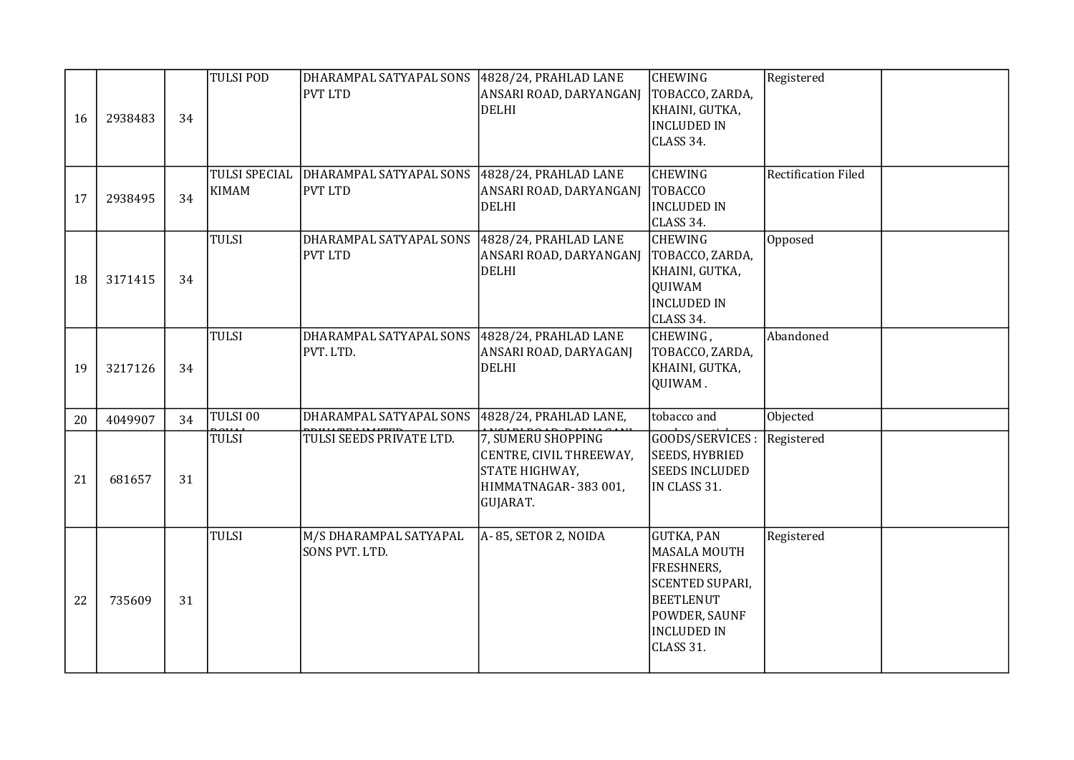| 16 | 2938483 | 34 | <b>TULSI POD</b>                     | DHARAMPAL SATYAPAL SONS<br><b>PVT LTD</b> | $4828/24$ , PRAHLAD LANE<br>ANSARI ROAD, DARYANGANJ<br><b>DELHI</b>                                | <b>CHEWING</b><br>TOBACCO, ZARDA,<br>KHAINI, GUTKA,<br><b>INCLUDED IN</b><br>CLASS 34.                                                                   | Registered                 |
|----|---------|----|--------------------------------------|-------------------------------------------|----------------------------------------------------------------------------------------------------|----------------------------------------------------------------------------------------------------------------------------------------------------------|----------------------------|
| 17 | 2938495 | 34 | <b>TULSI SPECIAL</b><br><b>KIMAM</b> | DHARAMPAL SATYAPAL SONS<br><b>PVT LTD</b> | 4828/24, PRAHLAD LANE<br>ANSARI ROAD, DARYANGANJ<br><b>DELHI</b>                                   | <b>CHEWING</b><br><b>TOBACCO</b><br><b>INCLUDED IN</b><br>CLASS 34.                                                                                      | <b>Rectification Filed</b> |
| 18 | 3171415 | 34 | <b>TULSI</b>                         | DHARAMPAL SATYAPAL SONS<br><b>PVT LTD</b> | 4828/24, PRAHLAD LANE<br>ANSARI ROAD, DARYANGANJ<br><b>DELHI</b>                                   | <b>CHEWING</b><br>TOBACCO, ZARDA,<br>KHAINI, GUTKA,<br>QUIWAM<br><b>INCLUDED IN</b><br>CLASS 34.                                                         | Opposed                    |
| 19 | 3217126 | 34 | <b>TULSI</b>                         | DHARAMPAL SATYAPAL SONS<br>PVT. LTD.      | 4828/24, PRAHLAD LANE<br>ANSARI ROAD, DARYAGANJ<br><b>DELHI</b>                                    | CHEWING,<br>TOBACCO, ZARDA,<br>KHAINI, GUTKA,<br>QUIWAM.                                                                                                 | Abandoned                  |
| 20 | 4049907 | 34 | TULSI 00                             | DHARAMPAL SATYAPAL SONS                   | 4828/24, PRAHLAD LANE,                                                                             | tobacco and                                                                                                                                              | Objected                   |
| 21 | 681657  | 31 | <b>TULSI</b>                         | TULSI SEEDS PRIVATE LTD.                  | 7, SUMERU SHOPPING<br>CENTRE, CIVIL THREEWAY,<br>STATE HIGHWAY,<br>HIMMATNAGAR-383001,<br>GUJARAT. | GOODS/SERVICES :<br><b>SEEDS, HYBRIED</b><br><b>SEEDS INCLUDED</b><br>IN CLASS 31.                                                                       | Registered                 |
| 22 | 735609  | 31 | <b>TULSI</b>                         | M/S DHARAMPAL SATYAPAL<br>SONS PVT. LTD.  | A-85, SETOR 2, NOIDA                                                                               | <b>GUTKA, PAN</b><br><b>MASALA MOUTH</b><br>FRESHNERS,<br><b>SCENTED SUPARI,</b><br><b>BEETLENUT</b><br>POWDER, SAUNF<br><b>INCLUDED IN</b><br>CLASS 31. | Registered                 |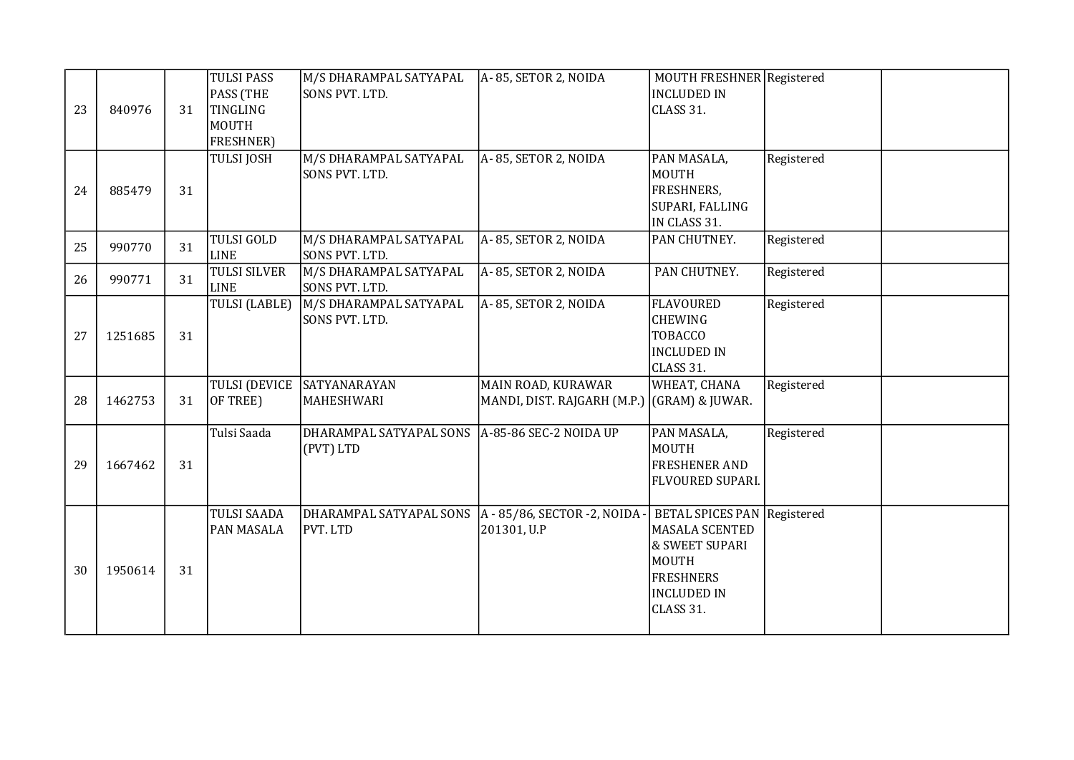| 23 | 840976  | 31 | <b>TULSI PASS</b><br>PASS (THE<br>TINGLING<br>MOUTH<br><b>FRESHNER)</b> | M/S DHARAMPAL SATYAPAL<br>SONS PVT. LTD. | A-85, SETOR 2, NOIDA                                              | MOUTH FRESHNER Registered<br><b>INCLUDED IN</b><br>CLASS 31.                                                                           |            |  |
|----|---------|----|-------------------------------------------------------------------------|------------------------------------------|-------------------------------------------------------------------|----------------------------------------------------------------------------------------------------------------------------------------|------------|--|
| 24 | 885479  | 31 | <b>TULSI JOSH</b>                                                       | M/S DHARAMPAL SATYAPAL<br>SONS PVT. LTD. | A-85, SETOR 2, NOIDA                                              | PAN MASALA,<br><b>MOUTH</b><br><b>FRESHNERS,</b><br>SUPARI, FALLING<br>IN CLASS 31.                                                    | Registered |  |
| 25 | 990770  | 31 | <b>TULSI GOLD</b><br><b>LINE</b>                                        | M/S DHARAMPAL SATYAPAL<br>SONS PVT. LTD. | A-85, SETOR 2, NOIDA                                              | PAN CHUTNEY.                                                                                                                           | Registered |  |
| 26 | 990771  | 31 | <b>TULSI SILVER</b><br><b>LINE</b>                                      | M/S DHARAMPAL SATYAPAL<br>SONS PVT. LTD. | A-85, SETOR 2, NOIDA                                              | PAN CHUTNEY.                                                                                                                           | Registered |  |
| 27 | 1251685 | 31 | <b>TULSI (LABLE)</b>                                                    | M/S DHARAMPAL SATYAPAL<br>SONS PVT. LTD. | A-85, SETOR 2, NOIDA                                              | <b>FLAVOURED</b><br><b>CHEWING</b><br><b>TOBACCO</b><br><b>INCLUDED IN</b><br>CLASS 31.                                                | Registered |  |
| 28 | 1462753 | 31 | <b>TULSI (DEVICE</b><br>OF TREE)                                        | SATYANARAYAN<br>MAHESHWARI               | MAIN ROAD, KURAWAR<br>MANDI, DIST. RAJGARH (M.P.) (GRAM) & JUWAR. | WHEAT, CHANA                                                                                                                           | Registered |  |
| 29 | 1667462 | 31 | Tulsi Saada                                                             | DHARAMPAL SATYAPAL SONS<br>(PVT) LTD     | $A-85-86$ SEC-2 NOIDA UP                                          | PAN MASALA,<br><b>MOUTH</b><br><b>FRESHENER AND</b><br>FLVOURED SUPARI.                                                                | Registered |  |
| 30 | 1950614 | 31 | <b>TULSI SAADA</b><br><b>PAN MASALA</b>                                 | DHARAMPAL SATYAPAL SONS<br>PVT. LTD      | $A - 85/86$ , SECTOR -2, NOIDA -<br>201301, U.P                   | BETAL SPICES PAN Registered<br>MASALA SCENTED<br>& SWEET SUPARI<br><b>MOUTH</b><br><b>FRESHNERS</b><br><b>INCLUDED IN</b><br>CLASS 31. |            |  |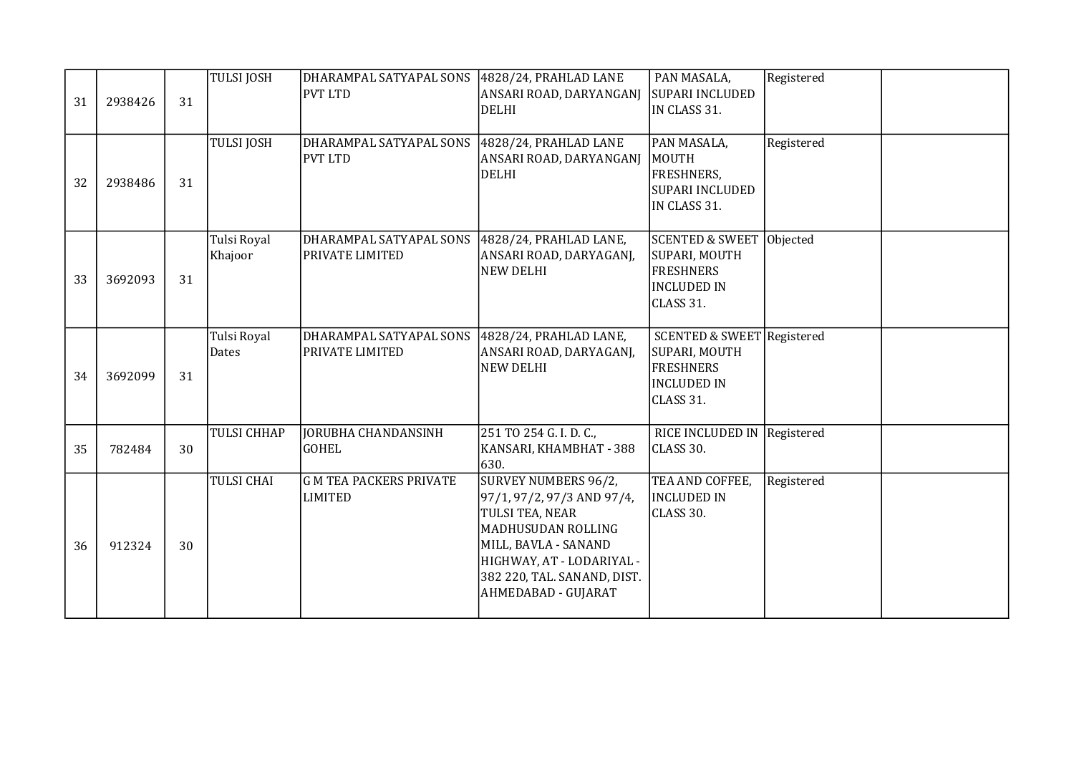| 31 | 2938426 | 31 | <b>TULSI JOSH</b>      | DHARAMPAL SATYAPAL SONS<br><b>PVT LTD</b>         | 4828/24, PRAHLAD LANE<br>ANSARI ROAD, DARYANGANJ<br>DELHI                                                                                                                                              | PAN MASALA,<br>SUPARI INCLUDED<br>IN CLASS 31.                                                                | Registered |  |
|----|---------|----|------------------------|---------------------------------------------------|--------------------------------------------------------------------------------------------------------------------------------------------------------------------------------------------------------|---------------------------------------------------------------------------------------------------------------|------------|--|
| 32 | 2938486 | 31 | <b>TULSI JOSH</b>      | DHARAMPAL SATYAPAL SONS<br><b>PVT LTD</b>         | $4828/24$ , PRAHLAD LANE<br>ANSARI ROAD, DARYANGANJ<br><b>DELHI</b>                                                                                                                                    | PAN MASALA,<br><b>MOUTH</b><br>FRESHNERS,<br><b>SUPARI INCLUDED</b><br>IN CLASS 31.                           | Registered |  |
| 33 | 3692093 | 31 | Tulsi Royal<br>Khajoor | DHARAMPAL SATYAPAL SONS<br><b>PRIVATE LIMITED</b> | 4828/24, PRAHLAD LANE,<br>ANSARI ROAD, DARYAGANJ,<br><b>NEW DELHI</b>                                                                                                                                  | SCENTED & SWEET Objected<br>SUPARI, MOUTH<br><b>FRESHNERS</b><br><b>INCLUDED IN</b><br>CLASS 31.              |            |  |
| 34 | 3692099 | 31 | Tulsi Royal<br>Dates   | DHARAMPAL SATYAPAL SONS<br>PRIVATE LIMITED        | 4828/24, PRAHLAD LANE,<br>ANSARI ROAD, DARYAGANJ,<br><b>NEW DELHI</b>                                                                                                                                  | <b>SCENTED &amp; SWEET Registered</b><br>SUPARI, MOUTH<br><b>FRESHNERS</b><br><b>INCLUDED IN</b><br>CLASS 31. |            |  |
| 35 | 782484  | 30 | <b>TULSI CHHAP</b>     | JORUBHA CHANDANSINH<br><b>GOHEL</b>               | 251 TO 254 G. I. D. C.,<br>KANSARI, KHAMBHAT - 388<br>630.                                                                                                                                             | RICE INCLUDED IN Registered<br>CLASS 30.                                                                      |            |  |
| 36 | 912324  | 30 | <b>TULSI CHAI</b>      | G M TEA PACKERS PRIVATE<br><b>LIMITED</b>         | SURVEY NUMBERS 96/2,<br>97/1, 97/2, 97/3 AND 97/4,<br>TULSI TEA, NEAR<br>MADHUSUDAN ROLLING<br>MILL, BAVLA - SANAND<br>HIGHWAY, AT - LODARIYAL -<br>382 220, TAL. SANAND, DIST.<br>AHMEDABAD - GUJARAT | TEA AND COFFEE,<br><b>INCLUDED IN</b><br>CLASS 30.                                                            | Registered |  |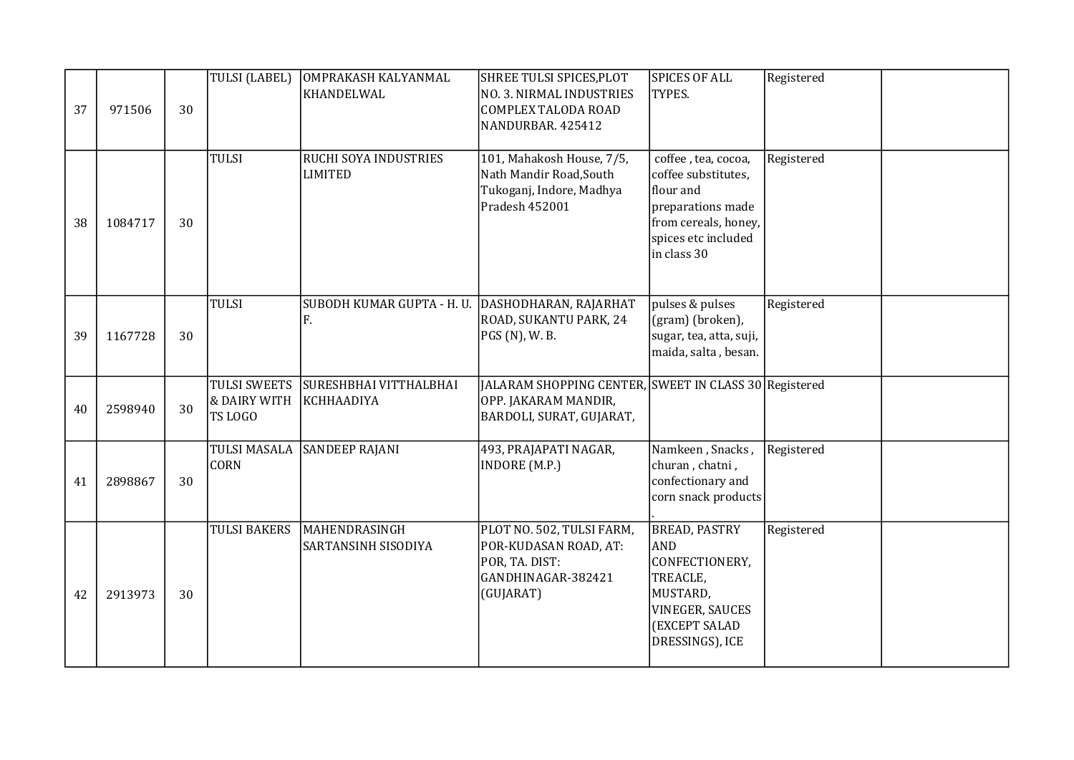| 37 | 971506  | 30 | TULSI (LABEL)                                  | OMPRAKASH KALYANMAL<br>KHANDELWAL              | SHREE TULSI SPICES, PLOT<br>NO. 3. NIRMAL INDUSTRIES<br>COMPLEX TALODA ROAD<br>NANDURBAR. 425412          | <b>SPICES OF ALL</b><br>TYPES.                                                                                                             | Registered |  |
|----|---------|----|------------------------------------------------|------------------------------------------------|-----------------------------------------------------------------------------------------------------------|--------------------------------------------------------------------------------------------------------------------------------------------|------------|--|
| 38 | 1084717 | 30 | <b>TULSI</b>                                   | <b>RUCHI SOYA INDUSTRIES</b><br><b>LIMITED</b> | 101, Mahakosh House, 7/5,<br>Nath Mandir Road, South<br>Tukoganj, Indore, Madhya<br>Pradesh 452001        | coffee, tea, cocoa,<br>coffee substitutes,<br>flour and<br>preparations made<br>from cereals, honey,<br>spices etc included<br>in class 30 | Registered |  |
| 39 | 1167728 | 30 | <b>TULSI</b>                                   | SUBODH KUMAR GUPTA - H. U.<br>F.               | DASHODHARAN, RAJARHAT<br>ROAD, SUKANTU PARK, 24<br>PGS (N), W. B.                                         | pulses & pulses<br>(gram) (broken),<br>sugar, tea, atta, suji,<br>maida, salta, besan.                                                     | Registered |  |
| 40 | 2598940 | 30 | <b>TULSI SWEETS</b><br>& DAIRY WITH<br>TS LOGO | <b>SURESHBHAI VITTHALBHAI</b><br>KCHHAADIYA    | JALARAM SHOPPING CENTER, SWEET IN CLASS 30 Registered<br>OPP. JAKARAM MANDIR,<br>BARDOLI, SURAT, GUJARAT, |                                                                                                                                            |            |  |
| 41 | 2898867 | 30 | <b>TULSI MASALA</b><br><b>CORN</b>             | <b>SANDEEP RAJANI</b>                          | 493, PRAJAPATI NAGAR,<br>INDORE (M.P.)                                                                    | Namkeen, Snacks,<br>churan, chatni,<br>confectionary and<br>corn snack products                                                            | Registered |  |
| 42 | 2913973 | 30 | <b>TULSI BAKERS</b>                            | MAHENDRASINGH<br>SARTANSINH SISODIYA           | PLOT NO. 502, TULSI FARM,<br>POR-KUDASAN ROAD, AT:<br>POR, TA. DIST:<br>GANDHINAGAR-382421<br>(GUJARAT)   | <b>BREAD, PASTRY</b><br><b>AND</b><br>CONFECTIONERY,<br>TREACLE,<br>MUSTARD,<br>VINEGER, SAUCES<br>(EXCEPT SALAD<br>DRESSINGS), ICE        | Registered |  |